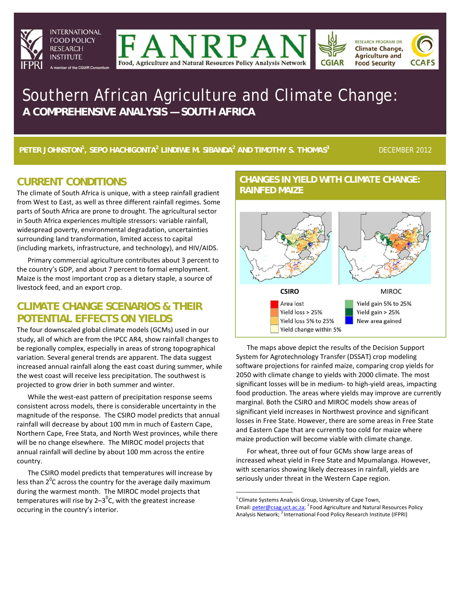







# Southern African Agriculture and Climate Change: **A COMPREHENSIVE ANALYSIS — SOUTH AFRICA**

**PETER JOHNSTON1 , SEPO HACHIGONTA<sup>2</sup> LINDIWE M. SIBANDA<sup>2</sup> AND TIMOTHY S. THOMAS3**

DECEMBER 2012

## **CURRENT CONDITIONS**

The climate of South Africa is unique, with a steep rainfall gradient from West to East, as well as three different rainfall regimes. Some parts of South Africa are prone to drought. The agricultural sector in South Africa experiences multiple stressors: variable rainfall, widespread poverty, environmental degradation, uncertainties surrounding land transformation, limited access to capital (including markets, infrastructure, and technology), and HIV/AIDS.

Primary commercial agriculture contributes about 3 percent to the country's GDP, and about 7 percent to formal employment. Maize is the most important crop as a dietary staple, a source of livestock feed, and an export crop.

## **CLIMATE CHANGE SCENARIOS & THEIR POTENTIAL EFFECTS ON YIELDS**

The four downscaled global climate models (GCMs) used in our study, all of which are from the IPCC AR4, show rainfall changes to be regionally complex, especially in areas of strong topographical variation. Several general trends are apparent. The data suggest increased annual rainfall along the east coast during summer, while the west coast will receive less precipitation. The southwest is projected to grow drier in both summer and winter.

While the west-east pattern of precipitation response seems consistent across models, there is considerable uncertainty in the magnitude of the response. The CSIRO model predicts that annual rainfall will decrease by about 100 mm in much of Eastern Cape, Northern Cape, Free Stata, and North West provinces, while there will be no change elsewhere. The MIROC model projects that annual rainfall will decline by about 100 mm across the entire country.

The CSIRO model predicts that temperatures will increase by less than 2<sup>0</sup>C across the country for the average daily maximum during the warmest month. The MIROC model projects that temperatures will rise by 2–3<sup>0</sup>C, with the greatest increase occuring in the country's interior.

#### **CHANGES IN YIELD WITH CLIMATE CHANGE: RAINFED MAIZE**



The maps above depict the results of the Decision Support System for Agrotechnology Transfer (DSSAT) crop modeling software projections for rainfed maize, comparing crop yields for 2050 with climate change to yields with 2000 climate. The most significant losses will be in medium- to high-yield areas, impacting food production. The areas where yields may improve are currently marginal. Both the CSIRO and MIROC models show areas of significant yield increases in Northwest province and significant losses in Free State. However, there are some areas in Free State and Eastern Cape that are currently too cold for maize where maize production will become viable with climate change.

For wheat, three out of four GCMs show large areas of increased wheat yield in Free State and Mpumalanga. However, with scenarios showing likely decreases in rainfall, yields are seriously under threat in the Western Cape region.

 $\_$ 

 $1$  Climate Systems Analysis Group, University of Cape Town, Email: *peter@csag.uct.ac.za;* <sup>2</sup> Food Agriculture and Natural Resources Policy Analysis Network; <sup>3</sup> International Food Policy Research Institute (IFPRI)